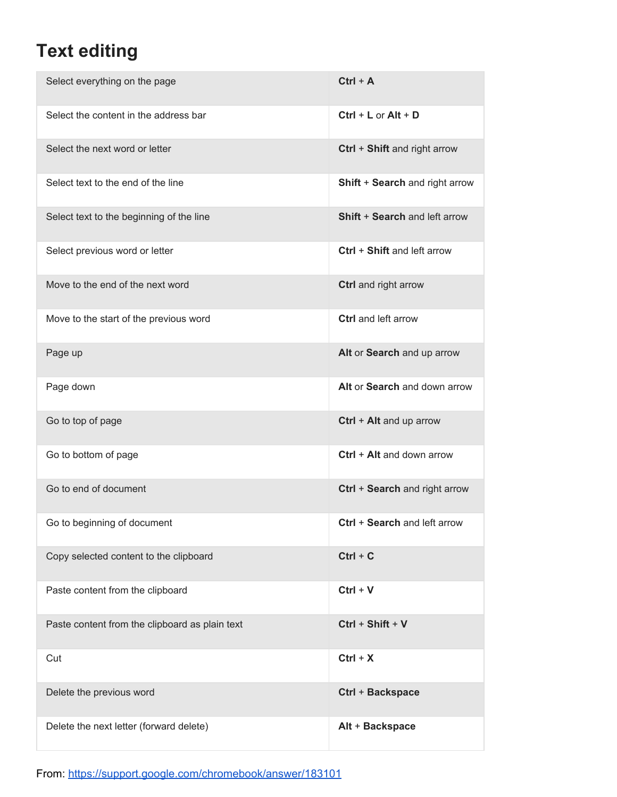## **Text editing**

| Select everything on the page                  | $Ctrl + A$                     |
|------------------------------------------------|--------------------------------|
| Select the content in the address bar          | $Ctrl + L$ or $Alt + D$        |
| Select the next word or letter                 | Ctrl + Shift and right arrow   |
| Select text to the end of the line             | Shift + Search and right arrow |
| Select text to the beginning of the line       | Shift + Search and left arrow  |
| Select previous word or letter                 | Ctrl + Shift and left arrow    |
| Move to the end of the next word               | Ctrl and right arrow           |
| Move to the start of the previous word         | Ctrl and left arrow            |
| Page up                                        | Alt or Search and up arrow     |
| Page down                                      | Alt or Search and down arrow   |
| Go to top of page                              | Ctrl + Alt and up arrow        |
| Go to bottom of page                           | Ctrl + Alt and down arrow      |
| Go to end of document                          | Ctrl + Search and right arrow  |
| Go to beginning of document                    | Ctrl + Search and left arrow   |
| Copy selected content to the clipboard         | $Ctrl + C$                     |
| Paste content from the clipboard               | $Ctrl + V$                     |
| Paste content from the clipboard as plain text | Ctrl + Shift + V               |
| Cut                                            | $Ctrl + X$                     |
| Delete the previous word                       | Ctrl + Backspace               |
| Delete the next letter (forward delete)        | Alt + Backspace                |

From: <https://support.google.com/chromebook/answer/183101>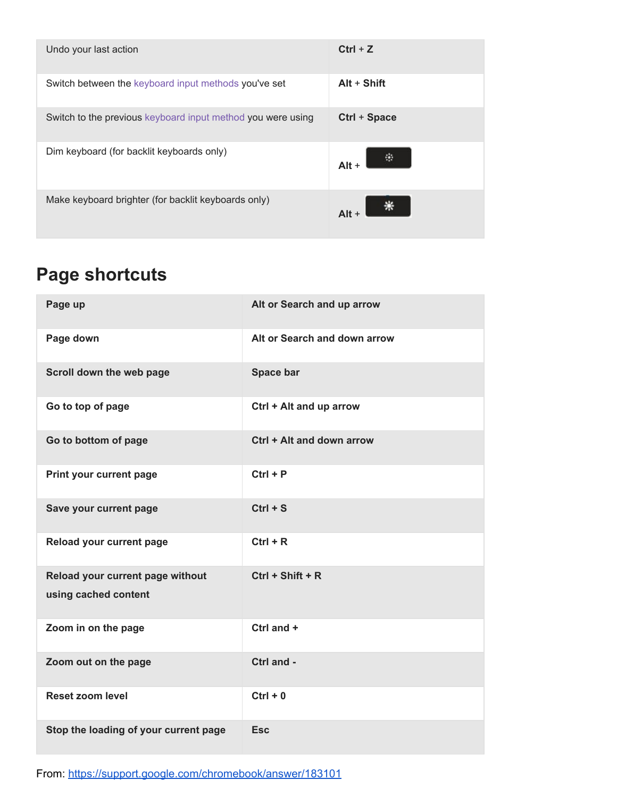| Undo your last action                                       | $Ctrl + Z$    |
|-------------------------------------------------------------|---------------|
| Switch between the keyboard input methods you've set        | $Alt + Shift$ |
| Switch to the previous keyboard input method you were using | Ctrl + Space  |
| Dim keyboard (for backlit keyboards only)                   | 陸<br>$Alt +$  |
| Make keyboard brighter (for backlit keyboards only)         | $Alt +$       |

## **Page shortcuts**

| Page up                                                  | Alt or Search and up arrow   |
|----------------------------------------------------------|------------------------------|
| Page down                                                | Alt or Search and down arrow |
| Scroll down the web page                                 | Space bar                    |
| Go to top of page                                        | Ctrl + Alt and up arrow      |
| Go to bottom of page                                     | Ctrl + Alt and down arrow    |
| Print your current page                                  | $Ctrl + P$                   |
| Save your current page                                   | $Ctrl + S$                   |
| Reload your current page                                 | $Ctrl + R$                   |
| Reload your current page without<br>using cached content | $Ctrl + Shift + R$           |
| Zoom in on the page                                      | Ctrl and +                   |
| Zoom out on the page                                     | Ctrl and -                   |
| <b>Reset zoom level</b>                                  | $Ctrl + 0$                   |
| Stop the loading of your current page                    | <b>Esc</b>                   |